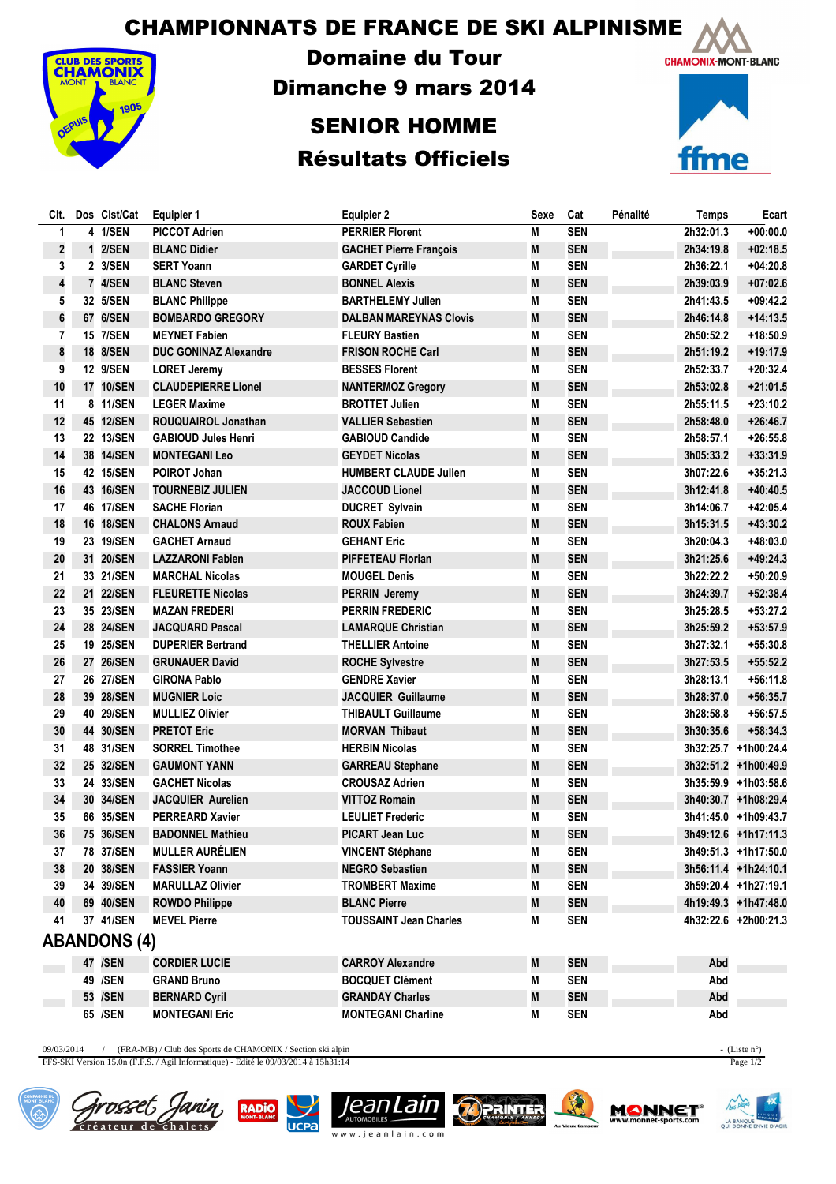CHAMPIONNATS DE FRANCE DE SKI ALPINISME



Domaine du Tour Dimanche 9 mars 2014

## SENIOR HOMME Résultats Officiels



| CIt.                    | Dos Clst/Cat        | <b>Equipier 1</b>            | <b>Equipier 2</b>             | Sexe | Cat        | Pénalité | <b>Temps</b> | Ecart                |
|-------------------------|---------------------|------------------------------|-------------------------------|------|------------|----------|--------------|----------------------|
| 1                       | 4 1/SEN             | <b>PICCOT Adrien</b>         | <b>PERRIER Florent</b>        | M    | <b>SEN</b> |          | 2h32:01.3    | $+00:00.0$           |
| $\overline{\mathbf{c}}$ | 1 2/SEN             | <b>BLANC Didier</b>          | <b>GACHET Pierre François</b> | M    | <b>SEN</b> |          | 2h34:19.8    | $+02:18.5$           |
| 3                       | 2 3/SEN             | <b>SERT Yoann</b>            | <b>GARDET Cyrille</b>         | M    | <b>SEN</b> |          | 2h36:22.1    | $+04:20.8$           |
| 4                       | 7 4/SEN             | <b>BLANC Steven</b>          | <b>BONNEL Alexis</b>          | M    | <b>SEN</b> |          | 2h39:03.9    | $+07:02.6$           |
| 5                       | 32 5/SEN            | <b>BLANC Philippe</b>        | <b>BARTHELEMY Julien</b>      | М    | <b>SEN</b> |          | 2h41:43.5    | $+09:42.2$           |
| $\boldsymbol{6}$        | 67 6/SEN            | <b>BOMBARDO GREGORY</b>      | <b>DALBAN MAREYNAS Clovis</b> | M    | <b>SEN</b> |          | 2h46:14.8    | $+14:13.5$           |
| 7                       | 15 7/SEN            | <b>MEYNET Fabien</b>         | <b>FLEURY Bastien</b>         | М    | <b>SEN</b> |          | 2h50:52.2    | +18:50.9             |
| 8                       | 18 8/SEN            | <b>DUC GONINAZ Alexandre</b> | <b>FRISON ROCHE Carl</b>      | M    | <b>SEN</b> |          | 2h51:19.2    | +19:17.9             |
| 9                       | 12 9/SEN            | <b>LORET Jeremy</b>          | <b>BESSES Florent</b>         | Μ    | <b>SEN</b> |          | 2h52:33.7    | $+20:32.4$           |
| 10                      | 17 10/SEN           | <b>CLAUDEPIERRE Lionel</b>   | <b>NANTERMOZ Gregory</b>      | M    | <b>SEN</b> |          | 2h53:02.8    | $+21:01.5$           |
| 11                      | 8 11/SEN            | <b>LEGER Maxime</b>          | <b>BROTTET Julien</b>         | М    | <b>SEN</b> |          | 2h55:11.5    | $+23:10.2$           |
| 12                      | 45 12/SEN           | ROUQUAIROL Jonathan          | <b>VALLIER Sebastien</b>      | M    | <b>SEN</b> |          | 2h58:48.0    | $+26:46.7$           |
| 13                      | 22 13/SEN           | <b>GABIOUD Jules Henri</b>   | <b>GABIOUD Candide</b>        | M    | <b>SEN</b> |          | 2h58:57.1    | $+26:55.8$           |
| 14                      | 38 14/SEN           | <b>MONTEGANI Leo</b>         | <b>GEYDET Nicolas</b>         | M    | <b>SEN</b> |          | 3h05:33.2    | $+33:31.9$           |
| 15                      | 42 15/SEN           | <b>POIROT Johan</b>          | <b>HUMBERT CLAUDE Julien</b>  | M    | <b>SEN</b> |          | 3h07:22.6    | $+35:21.3$           |
| 16                      | 43 16/SEN           | <b>TOURNEBIZ JULIEN</b>      | <b>JACCOUD Lionel</b>         | M    | <b>SEN</b> |          | 3h12:41.8    | $+40:40.5$           |
| 17                      | 46 17/SEN           | <b>SACHE Florian</b>         | <b>DUCRET Sylvain</b>         | M    | <b>SEN</b> |          | 3h14:06.7    | $+42:05.4$           |
| 18                      | 16 18/SEN           | <b>CHALONS Arnaud</b>        | <b>ROUX Fabien</b>            | M    | <b>SEN</b> |          | 3h15:31.5    | $+43:30.2$           |
| 19                      | 23 19/SEN           | <b>GACHET Arnaud</b>         | <b>GEHANT Eric</b>            | M    | <b>SEN</b> |          | 3h20:04.3    | +48:03.0             |
| 20                      | 31 20/SEN           | <b>LAZZARONI Fabien</b>      | <b>PIFFETEAU Florian</b>      | M    | <b>SEN</b> |          | 3h21:25.6    | +49:24.3             |
| 21                      | 33 21/SEN           | <b>MARCHAL Nicolas</b>       | <b>MOUGEL Denis</b>           | M    | <b>SEN</b> |          | 3h22:22.2    | $+50:20.9$           |
| 22                      | 21 22/SEN           | <b>FLEURETTE Nicolas</b>     | <b>PERRIN Jeremy</b>          | M    | <b>SEN</b> |          | 3h24:39.7    | $+52:38.4$           |
| 23                      | 35 23/SEN           | <b>MAZAN FREDERI</b>         | <b>PERRIN FREDERIC</b>        | M    | <b>SEN</b> |          | 3h25:28.5    | $+53:27.2$           |
| 24                      | 28 24/SEN           | <b>JACQUARD Pascal</b>       | <b>LAMARQUE Christian</b>     | M    | <b>SEN</b> |          | 3h25:59.2    | +53:57.9             |
| 25                      | 19 25/SEN           | <b>DUPERIER Bertrand</b>     | <b>THELLIER Antoine</b>       | M    | <b>SEN</b> |          | 3h27:32.1    | $+55:30.8$           |
| 26                      | 27 26/SEN           | <b>GRUNAUER David</b>        | <b>ROCHE Sylvestre</b>        | M    | <b>SEN</b> |          | 3h27:53.5    | $+55:52.2$           |
| 27                      | 26 27/SEN           | <b>GIRONA Pablo</b>          | <b>GENDRE Xavier</b>          | M    | <b>SEN</b> |          | 3h28:13.1    | $+56:11.8$           |
| 28                      | 39 28/SEN           | <b>MUGNIER Loic</b>          | <b>JACQUIER Guillaume</b>     | M    | <b>SEN</b> |          | 3h28:37.0    | $+56:35.7$           |
| 29                      | 40 29/SEN           | <b>MULLIEZ Olivier</b>       | THIBAULT Guillaume            | M    | <b>SEN</b> |          | 3h28:58.8    | $+56:57.5$           |
| 30                      | 44 30/SEN           | <b>PRETOT Eric</b>           | <b>MORVAN Thibaut</b>         | M    | <b>SEN</b> |          | 3h30:35.6    | $+58:34.3$           |
| 31                      | 48 31/SEN           | <b>SORREL Timothee</b>       | <b>HERBIN Nicolas</b>         | M    | <b>SEN</b> |          |              | 3h32:25.7 +1h00:24.4 |
| 32                      | 25 32/SEN           | <b>GAUMONT YANN</b>          | <b>GARREAU Stephane</b>       | M    | <b>SEN</b> |          |              | 3h32:51.2 +1h00:49.9 |
| 33                      | 24 33/SEN           | <b>GACHET Nicolas</b>        | <b>CROUSAZ Adrien</b>         | Μ    | <b>SEN</b> |          |              | 3h35:59.9 +1h03:58.6 |
| 34                      | 30 34/SEN           | <b>JACQUIER Aurelien</b>     | <b>VITTOZ Romain</b>          | M    | <b>SEN</b> |          |              | 3h40:30.7 +1h08:29.4 |
| 35                      | 66 35/SEN           | <b>PERREARD Xavier</b>       | <b>LEULIET Frederic</b>       | M    | <b>SEN</b> |          |              | 3h41:45.0 +1h09:43.7 |
| 36                      | 75 36/SEN           | <b>BADONNEL Mathieu</b>      | PICART Jean Luc               | M    | <b>SEN</b> |          |              | 3h49:12.6 +1h17:11.3 |
| 37                      | 78 37/SEN           | <b>MULLER AURÉLIEN</b>       | <b>VINCENT Stéphane</b>       | Μ    | <b>SEN</b> |          |              | 3h49:51.3 +1h17:50.0 |
| 38                      | 20 38/SEN           | <b>FASSIER Yoann</b>         | <b>NEGRO Sebastien</b>        | M    | <b>SEN</b> |          |              | 3h56:11.4 +1h24:10.1 |
| 39                      | 34 39/SEN           | <b>MARULLAZ Olivier</b>      | <b>TROMBERT Maxime</b>        | M    | <b>SEN</b> |          |              | 3h59:20.4 +1h27:19.1 |
| 40                      | 69 40/SEN           | <b>ROWDO Philippe</b>        | <b>BLANC Pierre</b>           | M    | <b>SEN</b> |          |              | 4h19:49.3 +1h47:48.0 |
| 41                      | 37 41/SEN           | <b>MEVEL Pierre</b>          | <b>TOUSSAINT Jean Charles</b> | Μ    | <b>SEN</b> |          |              | 4h32:22.6 +2h00:21.3 |
|                         | <b>ABANDONS (4)</b> |                              |                               |      |            |          |              |                      |
|                         | 47 /SEN             | <b>CORDIER LUCIE</b>         | <b>CARROY Alexandre</b>       | Μ    | <b>SEN</b> |          | Abd          |                      |
|                         | 49 /SEN             | <b>GRAND Bruno</b>           | <b>BOCQUET Clément</b>        | M    | <b>SEN</b> |          | Abd          |                      |
|                         | 53 /SEN             | <b>BERNARD Cyril</b>         | <b>GRANDAY Charles</b>        | M    | <b>SEN</b> |          | Abd          |                      |
|                         | 65 /SEN             | <b>MONTEGANI Eric</b>        | <b>MONTEGANI Charline</b>     | Μ    | <b>SEN</b> |          | Abd          |                      |

09/03/2014 / (FRA-MB) / Club des Sports de CHAMONIX / Section ski alpin - (Liste n°) - (Liste n°) - (Liste n°)

FFS-SKI Version 15.0n (F.F.S. / Agil Informatique) - Edité le 09/03/2014 à 15h31:14 Page 1/2

Tanin,

rosset J

Créateur de chalets





a

**AUTO VOBILES**